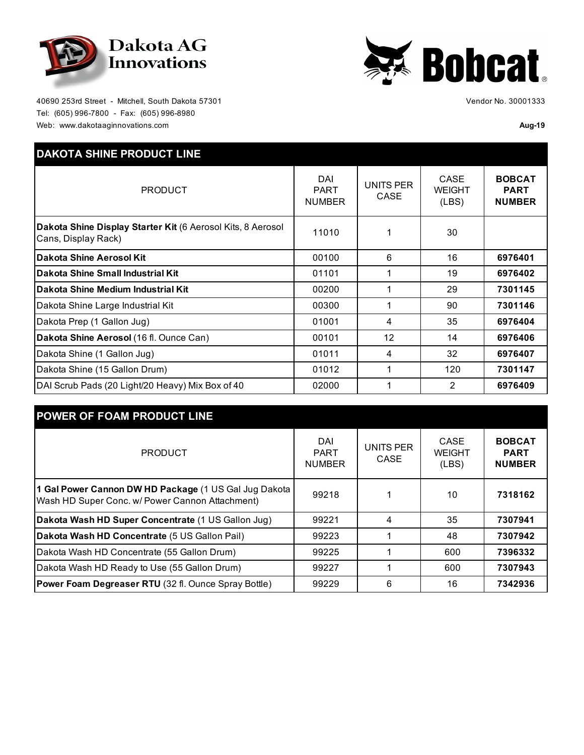



40690 253rd Street - Mitchell, South Dakota 57301 Tel: (605) 996-7800 - Fax: (605) 996-8980 Web: www.dakotaaginnovations.com **Aug-19** 

Vendor No. 30001333

| <b>DAKOTA SHINE PRODUCT LINE</b>                                                   |                                     |                                 |                                |                                               |
|------------------------------------------------------------------------------------|-------------------------------------|---------------------------------|--------------------------------|-----------------------------------------------|
| <b>PRODUCT</b>                                                                     | DAI<br><b>PART</b><br><b>NUMBER</b> | <b>UNITS PER</b><br><b>CASE</b> | CASE<br><b>WEIGHT</b><br>(LBS) | <b>BOBCAT</b><br><b>PART</b><br><b>NUMBER</b> |
| Dakota Shine Display Starter Kit (6 Aerosol Kits, 8 Aerosol<br>Cans, Display Rack) | 11010                               |                                 | 30                             |                                               |
| lDakota Shine Aerosol Kit                                                          | 00100                               | 6                               | 16                             | 6976401                                       |
| lDakota Shine Small Industrial Kit                                                 | 01101                               |                                 | 19                             | 6976402                                       |
| Dakota Shine Medium Industrial Kit                                                 | 00200                               |                                 | 29                             | 7301145                                       |
| Dakota Shine Large Industrial Kit                                                  | 00300                               |                                 | 90                             | 7301146                                       |
| Dakota Prep (1 Gallon Jug)                                                         | 01001                               | 4                               | 35                             | 6976404                                       |
| Dakota Shine Aerosol (16 fl. Ounce Can)                                            | 00101                               | 12                              | 14                             | 6976406                                       |
| Dakota Shine (1 Gallon Jug)                                                        | 01011                               | 4                               | 32                             | 6976407                                       |
| Dakota Shine (15 Gallon Drum)                                                      | 01012                               |                                 | 120                            | 7301147                                       |
| DAI Scrub Pads (20 Light/20 Heavy) Mix Box of 40                                   | 02000                               |                                 | 2                              | 6976409                                       |

| <b>POWER OF FOAM PRODUCT LINE</b>                                                                        |                                     |                          |                                |                                               |
|----------------------------------------------------------------------------------------------------------|-------------------------------------|--------------------------|--------------------------------|-----------------------------------------------|
| <b>PRODUCT</b>                                                                                           | DAI<br><b>PART</b><br><b>NUMBER</b> | <b>UNITS PER</b><br>CASE | CASE<br><b>WEIGHT</b><br>(LES) | <b>BOBCAT</b><br><b>PART</b><br><b>NUMBER</b> |
| 1 Gal Power Cannon DW HD Package (1 US Gal Jug Dakota<br>Wash HD Super Conc. w/ Power Cannon Attachment) | 99218                               |                          | 10                             | 7318162                                       |
| Dakota Wash HD Super Concentrate (1 US Gallon Jug)                                                       | 99221                               | 4                        | 35                             | 7307941                                       |
| Dakota Wash HD Concentrate (5 US Gallon Pail)                                                            | 99223                               |                          | 48                             | 7307942                                       |
| Dakota Wash HD Concentrate (55 Gallon Drum)                                                              | 99225                               |                          | 600                            | 7396332                                       |
| Dakota Wash HD Ready to Use (55 Gallon Drum)                                                             | 99227                               |                          | 600                            | 7307943                                       |
| <b>Power Foam Degreaser RTU</b> (32 fl. Ounce Spray Bottle)                                              | 99229                               | 6                        | 16                             | 7342936                                       |